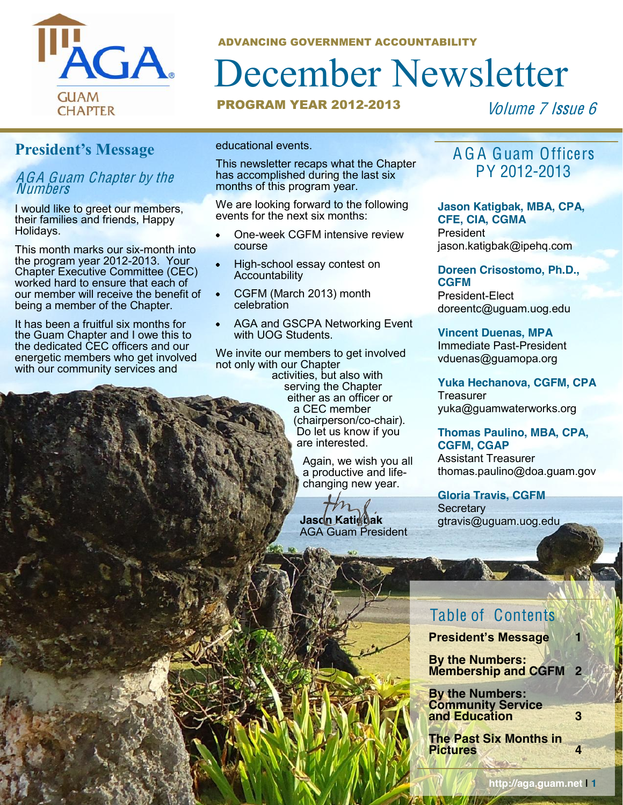

ADVANCING GOVERNMENT ACCOUNTABILITY

## December Newsletter

#### **PROGRAM YEAR 2012-2013**

Volume 7 Issue 6

#### **President's Message**

#### AGA Guam Chapte<sup>r</sup> by th<sup>e</sup> Numbers

I would like to greet our members, their families and friends, Happy Holidays.

This month marks our six-month into the program year 2012-2013. Your Chapter Executive Committee (CEC) worked hard to ensure that each of our member will receive the benefit of being a member of the Chapter.

It has been a fruitful six months for the Guam Chapter and I owe this to the dedicated CEC officers and our energetic members who get involved with our community services and

educational events.

This newsletter recaps what the Chapter has accomplished during the last six months of this program year.

We are looking forward to the following events for the next six months:

- One-week CGFM intensive review course
- High-school essay contest on **Accountability**
- CGFM (March 2013) month celebration
- AGA and GSCPA Networking Event with UOG Students.

We invite our members to get involved not only with our Chapter<br>activities, but also with activities, but also with<br>serving the Chapter<br>either as an officer or<br>a CEC member<br>(chairperson/co-chair).<br>Do let us know if you<br>are interested.

Again, we wish you all<br>a productive and life-<br>changing new year.

 **Jason Katigbak** AGA Guam President

#### A G A Guam Officers PY 2012-2013

#### **Jason Katigbak, MBA, CPA, CFE, CIA, CGMA**

President jason.katigbak@ipehq.com

**Doreen Crisostomo, Ph.D., CGFM** President-Elect doreentc@uguam.uog.edu

**Vincent Duenas, MPA** Immediate Past-President vduenas@guamopa.org

**Yuka Hechanova, CGFM, CPA Treasurer** yuka@guamwaterworks.org

#### **Thomas Paulino, MBA, CPA, CGFM, CGAP**

Assistant Treasurer thomas.paulino@doa.guam.gov

**Gloria Travis, CGFM Secretary** gtravis@uguam.uog.edu

#### Table of Contents

**President's Message 1** 

**By the Numbers: Membership and CGFM 2**

**By the Numbers: Community Service and Education 3**

**The Past Six Months in Pictures 4**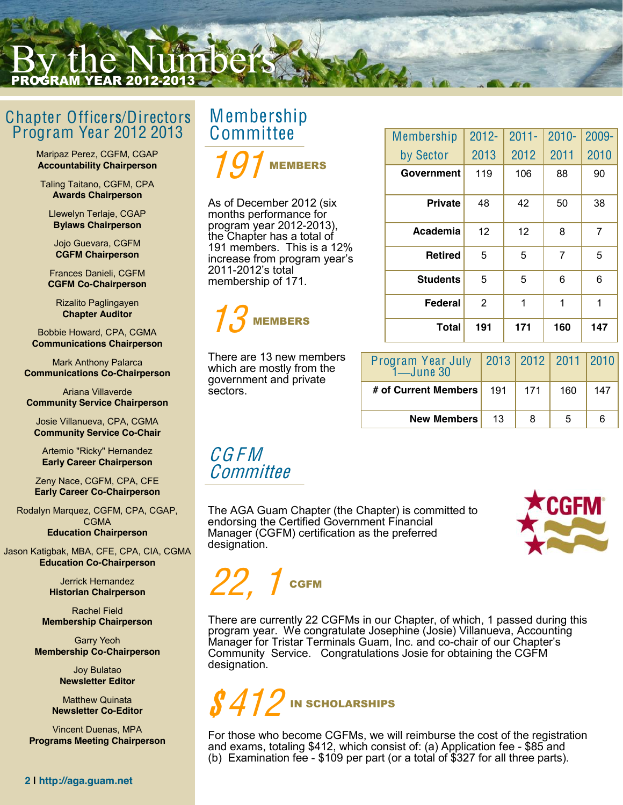### By the Numbers 2012-2

#### Chapter Officers/Directors Program Year 2012 2013

Maripaz Perez, CGFM, CGAP **Accountability Chairperson** 

Taling Taitano, CGFM, CPA **Awards Chairperson**

Llewelyn Terlaje, CGAP **Bylaws Chairperson** 

Jojo Guevara, CGFM **CGFM Chairperson**

Frances Danieli, CGFM **CGFM Co-Chairperson** 

Rizalito Paglingayen **Chapter Auditor** 

Bobbie Howard, CPA, CGMA **Communications Chairperson** 

Mark Anthony Palarca **Communications Co-Chairperson** 

Ariana Villaverde **Community Service Chairperson** 

Josie Villanueva, CPA, CGMA **Community Service Co-Chair** 

Artemio "Ricky" Hernandez **Early Career Chairperson** 

Zeny Nace, CGFM, CPA, CFE **Early Career Co-Chairperson** 

Rodalyn Marquez, CGFM, CPA, CGAP, **CGMA Education Chairperson**

Jason Katigbak, MBA, CFE, CPA, CIA, CGMA **Education Co-Chairperson**

> Jerrick Hernandez **Historian Chairperson**

Rachel Field **Membership Chairperson** 

Garry Yeoh **Membership Co-Chairperson** 

> Joy Bulatao **Newsletter Editor**

Matthew Quinata **Newsletter Co-Editor** 

Vincent Duenas, MPA **Programs Meeting Chairperson** 

# <sup>M</sup>embership Committee

191 MEMBERS

As of December 2012 (six months performance for program year 2012-2013), the Chapter has a total of 191 members. This is a 12% increase from program year's 2011-2012's total membership of 171.

#### 13 MEMBERS

There are 13 new members which are mostly from the government and private sectors.

| Membership      | $2012 -$ | $2011 -$ | $2010 -$ | 2009- |
|-----------------|----------|----------|----------|-------|
| by Sector       | 2013     | 2012     | 2011     | 2010  |
| Government      | 119      | 106      | 88       | 90    |
| <b>Private</b>  | 48       | 42       | 50       | 38    |
| Academia        | 12       | 12       | 8        | 7     |
| <b>Retired</b>  | 5        | 5        | 7        | 5     |
| <b>Students</b> | 5        | 5        | 6        | 6     |
| Federal         | 2        | 1        | 1        | 1     |
| Total           | 191      | 171      | 160      | 147   |

| Program Year July<br>1—June 30 |     |     | 2013   2012   2011   2010 |     |
|--------------------------------|-----|-----|---------------------------|-----|
| # of Current Members           | 191 | 171 | 160                       | 147 |
| <b>New Members</b>             | 13  | 8   | 5                         |     |

#### CG F M **Committee**

The AGA Guam Chapter (the Chapter) is committed to endorsing the Certified Government Financial Manager (CGFM) certification as the preferred designation.



## $22\mathrm{,~1}$  CgFM

There are currently 22 CGFMs in our Chapter, of which, 1 passed during this program year. We congratulate Josephine (Josie) Villanueva, Accounting Manager for Tristar Terminals Guam, Inc. and co-chair of our Chapter's Community Service. Congratulations Josie for obtaining the CGFM designation.



For those who become CGFMs, we will reimburse the cost of the registration and exams, totaling \$412, which consist of: (a) Application fee - \$85 and (b) Examination fee - \$109 per part (or a total of \$327 for all three parts).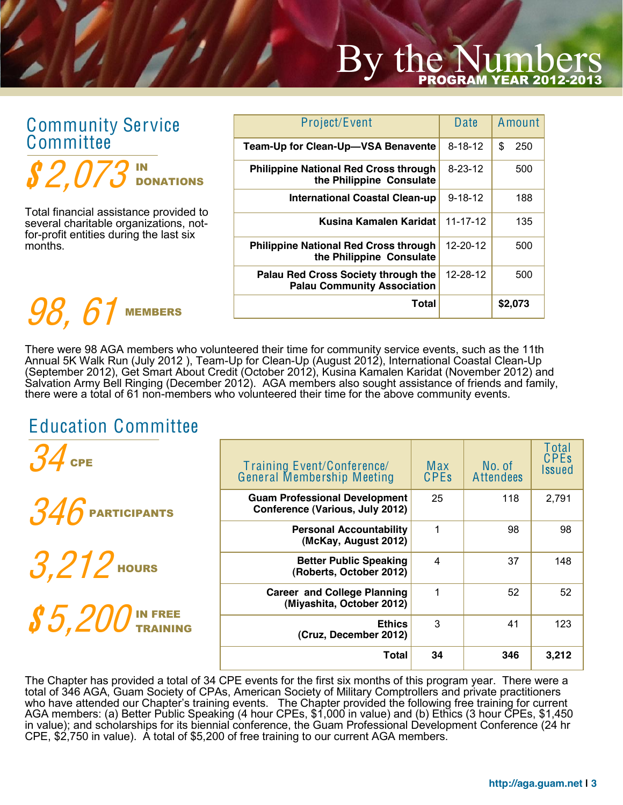# By the Num

#### Community Service **Committee** IN

MEMBERS

| <b>Community Service</b>                                                                                                    | Project/Event                                                             | Date           | Amount    |
|-----------------------------------------------------------------------------------------------------------------------------|---------------------------------------------------------------------------|----------------|-----------|
| Committee                                                                                                                   | Team-Up for Clean-Up-VSA Benavente                                        | $8 - 18 - 12$  | \$<br>250 |
| $\pmb{S2},073$ in donations                                                                                                 | <b>Philippine National Red Cross through</b><br>the Philippine Consulate  | $8 - 23 - 12$  | 500       |
|                                                                                                                             | <b>International Coastal Clean-up</b>                                     | $9 - 18 - 12$  | 188       |
|                                                                                                                             | Kusina Kamalen Karidat                                                    | $11 - 17 - 12$ | 135       |
| months.                                                                                                                     | <b>Philippine National Red Cross through</b><br>the Philippine Consulate  | 12-20-12       | 500       |
| Total financial assistance provided to<br>several charitable organizations, not-<br>for-profit entities during the last six | Palau Red Cross Society through the<br><b>Palau Community Association</b> | 12-28-12       | 500       |
| 98.6<br><b>MEMBERS</b>                                                                                                      | <b>Total</b>                                                              |                | \$2,073   |
|                                                                                                                             |                                                                           |                |           |

There were 98 AGA members who volunteered their time for community service events, such as the 11th Annual 5K Walk Run (July 2012 ), Team-Up for Clean-Up (August 2012), International Coastal Clean-Up (September 2012), Get Smart About Credit (October 2012), Kusina Kamalen Karidat (November 2012) and Salvation Army Bell Ringing (December 2012). AGA members also sought assistance of friends and family, there were a total of 61 non-members who volunteered their time for the above community events.

#### Education Committee

| $34$ GPE                                | Training Event/Conference/<br>General Membership Meeting                | Max<br><b>CPEs</b> | No. of<br><b>Attendees</b> | Total<br><b>CPEs</b><br><b>Issued</b> |
|-----------------------------------------|-------------------------------------------------------------------------|--------------------|----------------------------|---------------------------------------|
| $346$ Participants                      | <b>Guam Professional Development</b><br>Conference (Various, July 2012) | 25                 | 118                        | 2,791                                 |
|                                         | <b>Personal Accountability</b><br>(McKay, August 2012)                  | 1                  | 98                         | 98                                    |
| $3.212$ Hours                           | <b>Better Public Speaking</b><br>(Roberts, October 2012)                | $\overline{4}$     | 37                         | 148                                   |
| $\pmb{\mathcal{S}}$ $5$ , $200$ in Free | <b>Career and College Planning</b><br>(Miyashita, October 2012)         | 1                  | 52                         | 52                                    |
|                                         | <b>Ethics</b><br>(Cruz, December 2012)                                  | 3                  | 41                         | 123                                   |
|                                         | <b>Total</b>                                                            | 34                 | 346                        | 3,212                                 |

The Chapter has provided a total of 34 CPE events for the first six months of this program year. There were a total of 346 AGA, Guam Society of CPAs, American Society of Military Comptrollers and private practitioners who have attended our Chapter's training events. The Chapter provided the following free training for current AGA members: (a) Better Public Speaking (4 hour CPEs, \$1,000 in value) and (b) Ethics (3 hour CPEs, \$1,450 in value); and scholarships for its biennial conference, the Guam Professional Development Conference (24 hr CPE, \$2,750 in value). A total of \$5,200 of free training to our current AGA members.